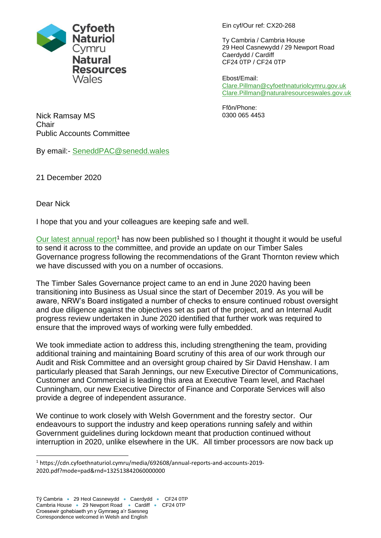

Ein cyf/Our ref: CX20-268

Ty Cambria / Cambria House 29 Heol Casnewydd / 29 Newport Road Caerdydd / Cardiff CF24 0TP / CF24 0TP

Ebost/Email: [Clare.Pillman@cyfoethnaturiolcymru.gov.uk](mailto:Clare.Pillman@cyfoethnaturiolcymru.gov.uk) [Clare.Pillman@naturalresourceswales.gov.uk](mailto:Clare.Pillman@naturalresourceswales.gov.uk)

Ffôn/Phone: 0300 065 4453

Nick Ramsay MS **Chair** Public Accounts Committee

By email:- [SeneddPAC@senedd.wales](mailto:SeneddPAC@senedd.wales)

21 December 2020

Dear Nick

I hope that you and your colleagues are keeping safe and well.

[Our latest annual report](https://cdn.cyfoethnaturiol.cymru/media/692608/annual-reports-and-accounts-2019-2020.pdf?mode=pad&rnd=132513842060000000)<sup>1</sup> has now been published so I thought it thought it would be useful to send it across to the committee, and provide an update on our Timber Sales Governance progress following the recommendations of the Grant Thornton review which we have discussed with you on a number of occasions.

The Timber Sales Governance project came to an end in June 2020 having been transitioning into Business as Usual since the start of December 2019. As you will be aware, NRW's Board instigated a number of checks to ensure continued robust oversight and due diligence against the objectives set as part of the project, and an Internal Audit progress review undertaken in June 2020 identified that further work was required to ensure that the improved ways of working were fully embedded.

We took immediate action to address this, including strengthening the team, providing additional training and maintaining Board scrutiny of this area of our work through our Audit and Risk Committee and an oversight group chaired by Sir David Henshaw. I am particularly pleased that Sarah Jennings, our new Executive Director of Communications, Customer and Commercial is leading this area at Executive Team level, and Rachael Cunningham, our new Executive Director of Finance and Corporate Services will also provide a degree of independent assurance.

We continue to work closely with Welsh Government and the forestry sector. Our endeavours to support the industry and keep operations running safely and within Government guidelines during lockdown meant that production continued without interruption in 2020, unlike elsewhere in the UK. All timber processors are now back up

<sup>1</sup> https://cdn.cyfoethnaturiol.cymru/media/692608/annual-reports-and-accounts-2019- 2020.pdf?mode=pad&rnd=132513842060000000